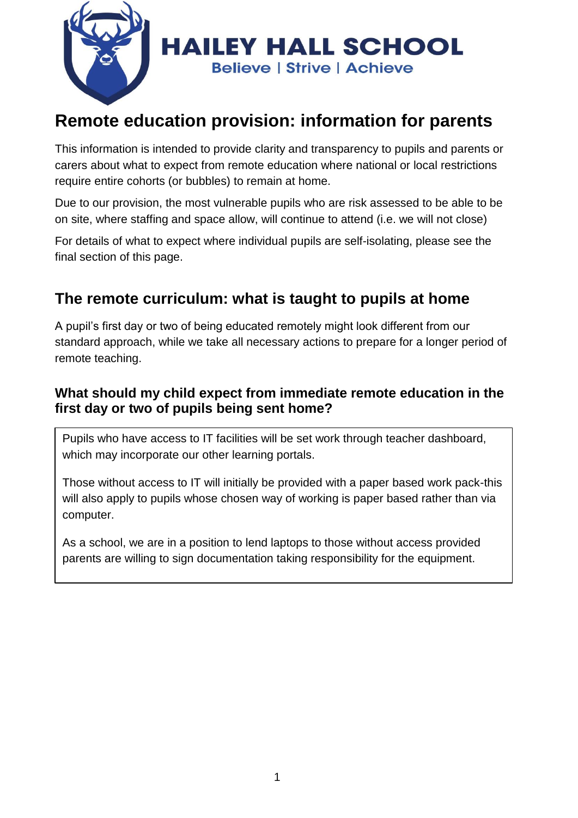

# **Remote education provision: information for parents**

This information is intended to provide clarity and transparency to pupils and parents or carers about what to expect from remote education where national or local restrictions require entire cohorts (or bubbles) to remain at home.

Due to our provision, the most vulnerable pupils who are risk assessed to be able to be on site, where staffing and space allow, will continue to attend (i.e. we will not close)

For details of what to expect where individual pupils are self-isolating, please see the final section of this page.

## **The remote curriculum: what is taught to pupils at home**

A pupil's first day or two of being educated remotely might look different from our standard approach, while we take all necessary actions to prepare for a longer period of remote teaching.

#### **What should my child expect from immediate remote education in the first day or two of pupils being sent home?**

Pupils who have access to IT facilities will be set work through teacher dashboard, which may incorporate our other learning portals.

Those without access to IT will initially be provided with a paper based work pack-this will also apply to pupils whose chosen way of working is paper based rather than via computer.

As a school, we are in a position to lend laptops to those without access provided parents are willing to sign documentation taking responsibility for the equipment.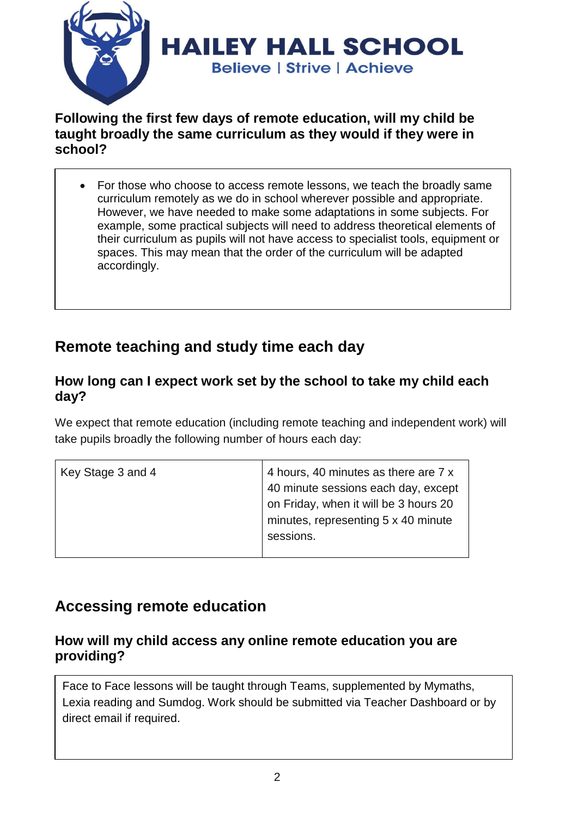

#### **Following the first few days of remote education, will my child be taught broadly the same curriculum as they would if they were in school?**

• For those who choose to access remote lessons, we teach the broadly same curriculum remotely as we do in school wherever possible and appropriate. However, we have needed to make some adaptations in some subjects. For example, some practical subjects will need to address theoretical elements of their curriculum as pupils will not have access to specialist tools, equipment or spaces. This may mean that the order of the curriculum will be adapted accordingly.

## **Remote teaching and study time each day**

#### **How long can I expect work set by the school to take my child each day?**

We expect that remote education (including remote teaching and independent work) will take pupils broadly the following number of hours each day:

| Key Stage 3 and 4 | 4 hours, 40 minutes as there are 7 x  |
|-------------------|---------------------------------------|
|                   | 40 minute sessions each day, except   |
|                   | on Friday, when it will be 3 hours 20 |
|                   | minutes, representing 5 x 40 minute   |
|                   | sessions.                             |
|                   |                                       |

## **Accessing remote education**

#### **How will my child access any online remote education you are providing?**

Face to Face lessons will be taught through Teams, supplemented by Mymaths, Lexia reading and Sumdog. Work should be submitted via Teacher Dashboard or by direct email if required.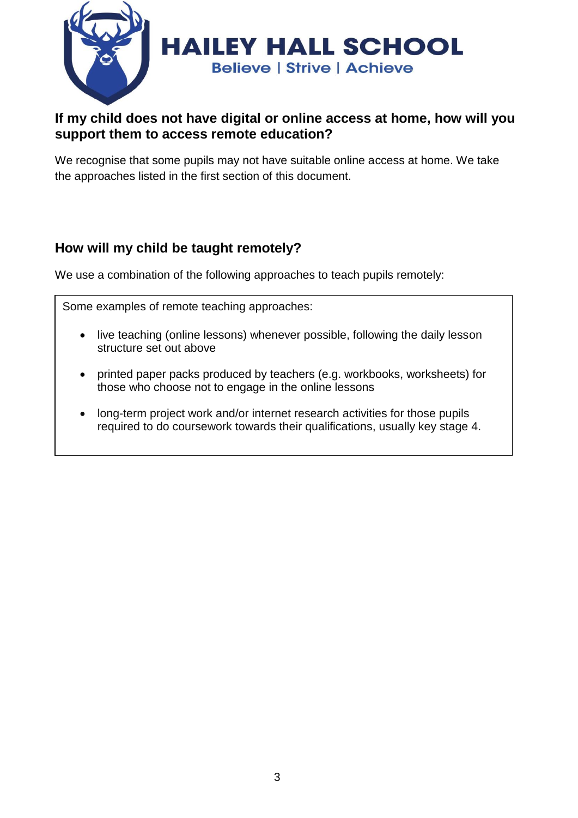

#### **If my child does not have digital or online access at home, how will you support them to access remote education?**

We recognise that some pupils may not have suitable online access at home. We take the approaches listed in the first section of this document.

### **How will my child be taught remotely?**

We use a combination of the following approaches to teach pupils remotely:

Some examples of remote teaching approaches:

- live teaching (online lessons) whenever possible, following the daily lesson structure set out above
- printed paper packs produced by teachers (e.g. workbooks, worksheets) for those who choose not to engage in the online lessons
- long-term project work and/or internet research activities for those pupils required to do coursework towards their qualifications, usually key stage 4.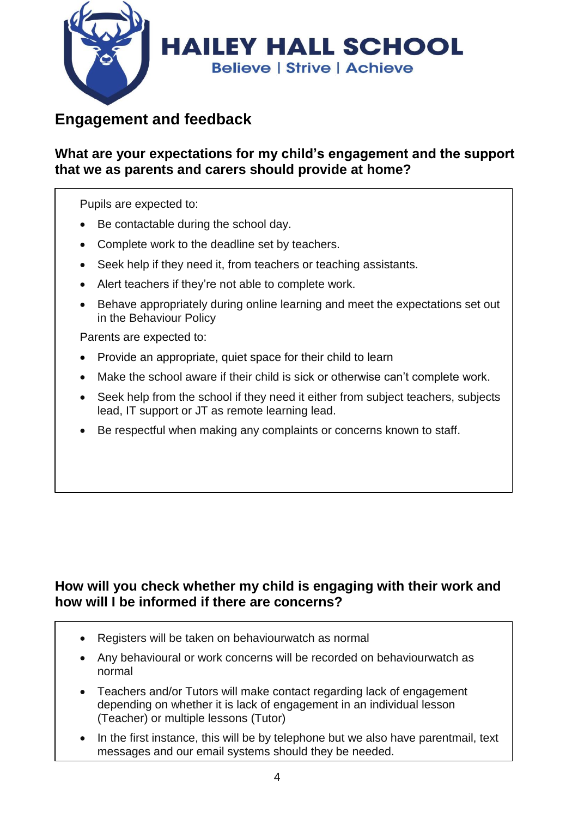

## **Engagement and feedback**

#### **What are your expectations for my child's engagement and the support that we as parents and carers should provide at home?**

Pupils are expected to:

- Be contactable during the school day.
- Complete work to the deadline set by teachers.
- Seek help if they need it, from teachers or teaching assistants.
- Alert teachers if they're not able to complete work.
- Behave appropriately during online learning and meet the expectations set out in the Behaviour Policy

Parents are expected to:

- Provide an appropriate, quiet space for their child to learn
- Make the school aware if their child is sick or otherwise can't complete work.
- Seek help from the school if they need it either from subject teachers, subjects lead, IT support or JT as remote learning lead.
- Be respectful when making any complaints or concerns known to staff.

### **How will you check whether my child is engaging with their work and how will I be informed if there are concerns?**

- Registers will be taken on behaviourwatch as normal
- Any behavioural or work concerns will be recorded on behaviourwatch as normal
- Teachers and/or Tutors will make contact regarding lack of engagement depending on whether it is lack of engagement in an individual lesson (Teacher) or multiple lessons (Tutor)
- In the first instance, this will be by telephone but we also have parentmail, text messages and our email systems should they be needed.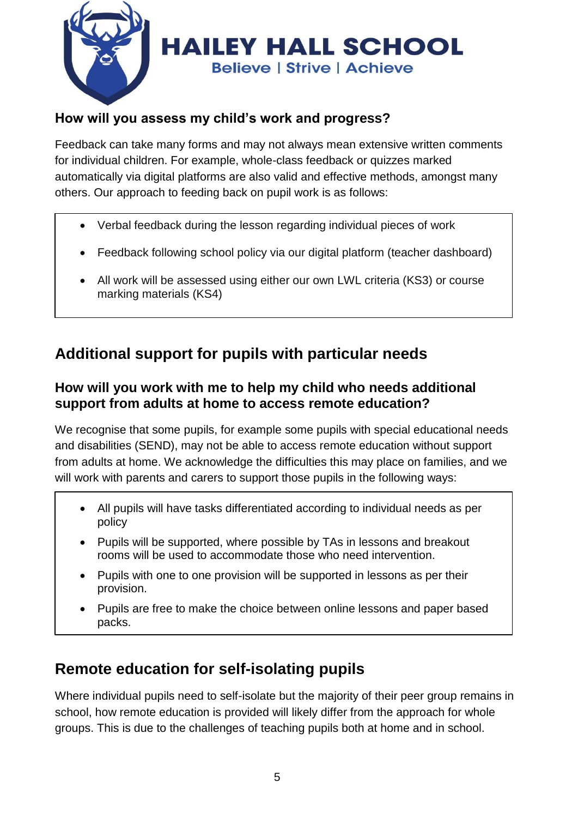

### **How will you assess my child's work and progress?**

Feedback can take many forms and may not always mean extensive written comments for individual children. For example, whole-class feedback or quizzes marked automatically via digital platforms are also valid and effective methods, amongst many others. Our approach to feeding back on pupil work is as follows:

- Verbal feedback during the lesson regarding individual pieces of work
- Feedback following school policy via our digital platform (teacher dashboard)
- All work will be assessed using either our own LWL criteria (KS3) or course marking materials (KS4)

# **Additional support for pupils with particular needs**

### **How will you work with me to help my child who needs additional support from adults at home to access remote education?**

We recognise that some pupils, for example some pupils with special educational needs and disabilities (SEND), may not be able to access remote education without support from adults at home. We acknowledge the difficulties this may place on families, and we will work with parents and carers to support those pupils in the following ways:

- All pupils will have tasks differentiated according to individual needs as per policy
- Pupils will be supported, where possible by TAs in lessons and breakout rooms will be used to accommodate those who need intervention.
- Pupils with one to one provision will be supported in lessons as per their provision.
- Pupils are free to make the choice between online lessons and paper based packs.

# **Remote education for self-isolating pupils**

Where individual pupils need to self-isolate but the majority of their peer group remains in school, how remote education is provided will likely differ from the approach for whole groups. This is due to the challenges of teaching pupils both at home and in school.